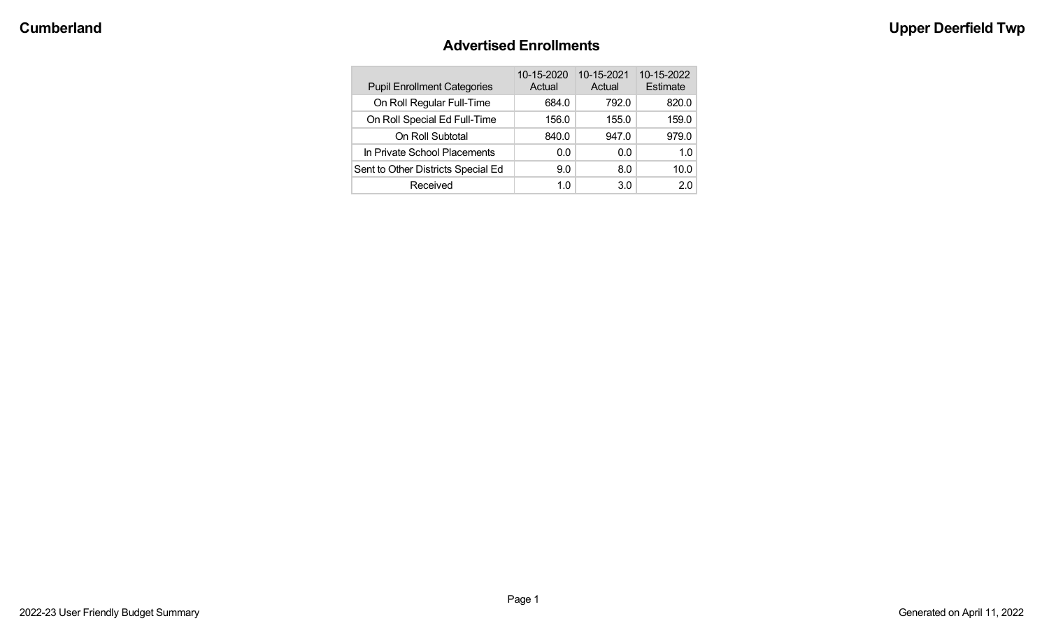#### **Advertised Enrollments**

| <b>Pupil Enrollment Categories</b> | 10-15-2020<br>Actual | 10-15-2021<br>Actual | 10-15-2022<br>Estimate |
|------------------------------------|----------------------|----------------------|------------------------|
| On Roll Regular Full-Time          | 684.0                | 792.0                | 820.0                  |
| On Roll Special Ed Full-Time       | 156.0                | 155.0                | 159.0                  |
| On Roll Subtotal                   | 840.0                | 947.0                | 979.0                  |
| In Private School Placements       | 0.0                  | 0.0                  | 1.0                    |
| Sent to Other Districts Special Ed | 9.0                  | 8.0                  | 10.0                   |
| Received                           | 1.0                  | 3.0                  | 20                     |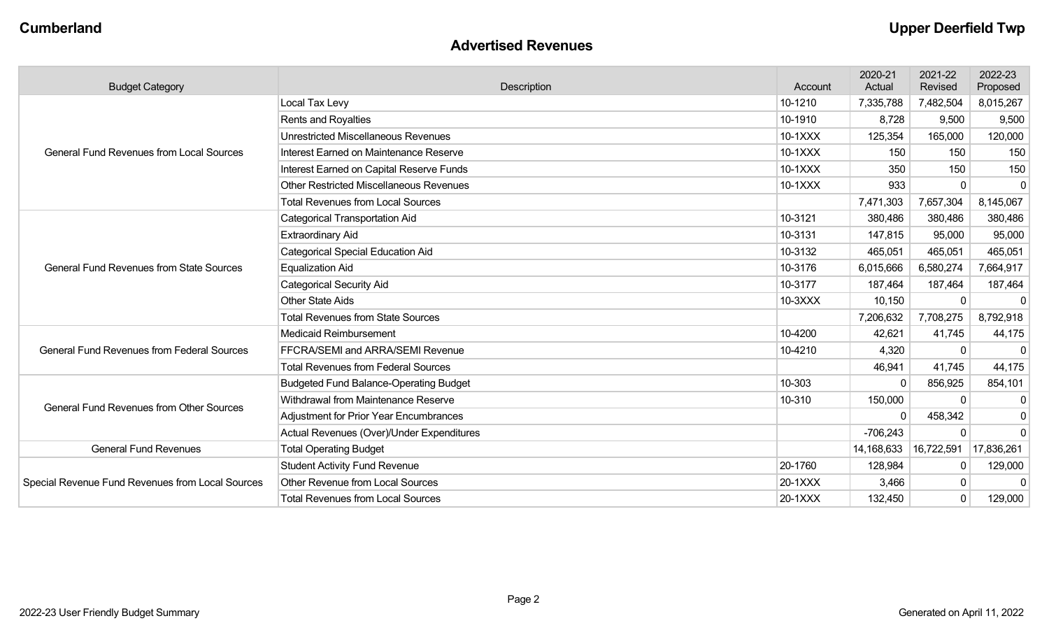#### **Advertised Revenues**

| <b>Budget Category</b>                                                                                                                                                                                     | Description                                    | Account                                                                                                                                                   | 2020-21<br>Actual | 2021-22<br>Revised | 2022-23<br>Proposed |
|------------------------------------------------------------------------------------------------------------------------------------------------------------------------------------------------------------|------------------------------------------------|-----------------------------------------------------------------------------------------------------------------------------------------------------------|-------------------|--------------------|---------------------|
|                                                                                                                                                                                                            | Local Tax Levy                                 | 10-1210                                                                                                                                                   | 7,335,788         | 7,482,504          | 8,015,267           |
|                                                                                                                                                                                                            | Rents and Royalties                            | 10-1910                                                                                                                                                   | 8,728             | 9,500              | 9,500               |
| <b>General Fund Revenues from Local Sources</b><br><b>General Fund Revenues from State Sources</b><br><b>General Fund Revenues from Federal Sources</b><br><b>General Fund Revenues from Other Sources</b> | <b>Unrestricted Miscellaneous Revenues</b>     | 10-1XXX                                                                                                                                                   | 125,354           | 165,000            | 120,000             |
|                                                                                                                                                                                                            | Interest Earned on Maintenance Reserve         | 10-1XXX                                                                                                                                                   | 150               | 150                | 150                 |
|                                                                                                                                                                                                            | Interest Earned on Capital Reserve Funds       | 10-1XXX                                                                                                                                                   | 350               | 150                | 150                 |
|                                                                                                                                                                                                            | <b>Other Restricted Miscellaneous Revenues</b> | 10-1XXX                                                                                                                                                   | 933               | $\Omega$           | $\mathbf{0}$        |
|                                                                                                                                                                                                            | <b>Total Revenues from Local Sources</b>       |                                                                                                                                                           | 7,471,303         | 7,657,304          | 8,145,067           |
| <b>General Fund Revenues</b><br>Special Revenue Fund Revenues from Local Sources                                                                                                                           | <b>Categorical Transportation Aid</b>          | 10-3121                                                                                                                                                   | 380,486           | 380,486            | 380,486             |
|                                                                                                                                                                                                            | <b>Extraordinary Aid</b>                       | 10-3131                                                                                                                                                   | 147,815           | 95,000             | 95,000              |
|                                                                                                                                                                                                            | <b>Categorical Special Education Aid</b>       | 10-3132                                                                                                                                                   | 465,051           | 465,051            | 465,051             |
|                                                                                                                                                                                                            | <b>Equalization Aid</b>                        | 10-3176                                                                                                                                                   | 6,015,666         | 6,580,274          | 7,664,917           |
|                                                                                                                                                                                                            | <b>Categorical Security Aid</b>                | 10-3177                                                                                                                                                   | 187,464           | 187,464            | 187,464             |
|                                                                                                                                                                                                            | <b>Other State Aids</b>                        | 10-3XXX                                                                                                                                                   | 10,150            |                    | $\mathbf{0}$        |
|                                                                                                                                                                                                            | <b>Total Revenues from State Sources</b>       |                                                                                                                                                           | 7,206,632         | 7,708,275          | 8,792,918           |
|                                                                                                                                                                                                            | <b>Medicaid Reimbursement</b>                  | 10-4200                                                                                                                                                   | 42,621            | 41,745             | 44,175              |
|                                                                                                                                                                                                            | FFCRA/SEMI and ARRA/SEMI Revenue               | 10-4210                                                                                                                                                   | 4,320             | $\mathbf{0}$       | $\mathbf{0}$        |
|                                                                                                                                                                                                            | <b>Total Revenues from Federal Sources</b>     | 46,941<br>10-303<br>$\Omega$<br>10-310<br>150,000<br>$\Omega$<br>$-706,243$<br>14,168,633<br>20-1760<br>128,984<br>20-1XXX<br>3,466<br>132,450<br>20-1XXX | 41,745            | 44,175             |                     |
|                                                                                                                                                                                                            | <b>Budgeted Fund Balance-Operating Budget</b>  |                                                                                                                                                           |                   | 856,925            | 854,101             |
|                                                                                                                                                                                                            | Withdrawal from Maintenance Reserve            |                                                                                                                                                           |                   | $\Omega$           | $\mathbf{0}$        |
|                                                                                                                                                                                                            | <b>Adjustment for Prior Year Encumbrances</b>  |                                                                                                                                                           |                   | 458,342            | $\mathbf 0$         |
|                                                                                                                                                                                                            | Actual Revenues (Over)/Under Expenditures      |                                                                                                                                                           |                   | $\Omega$           | $\overline{0}$      |
|                                                                                                                                                                                                            | <b>Total Operating Budget</b>                  |                                                                                                                                                           |                   | 16,722,591         | 17,836,261          |
|                                                                                                                                                                                                            | <b>Student Activity Fund Revenue</b>           |                                                                                                                                                           |                   | 0                  | 129,000             |
|                                                                                                                                                                                                            | Other Revenue from Local Sources               |                                                                                                                                                           |                   | 0                  | $\Omega$            |
|                                                                                                                                                                                                            | <b>Total Revenues from Local Sources</b>       |                                                                                                                                                           |                   | $\mathbf 0$        | 129,000             |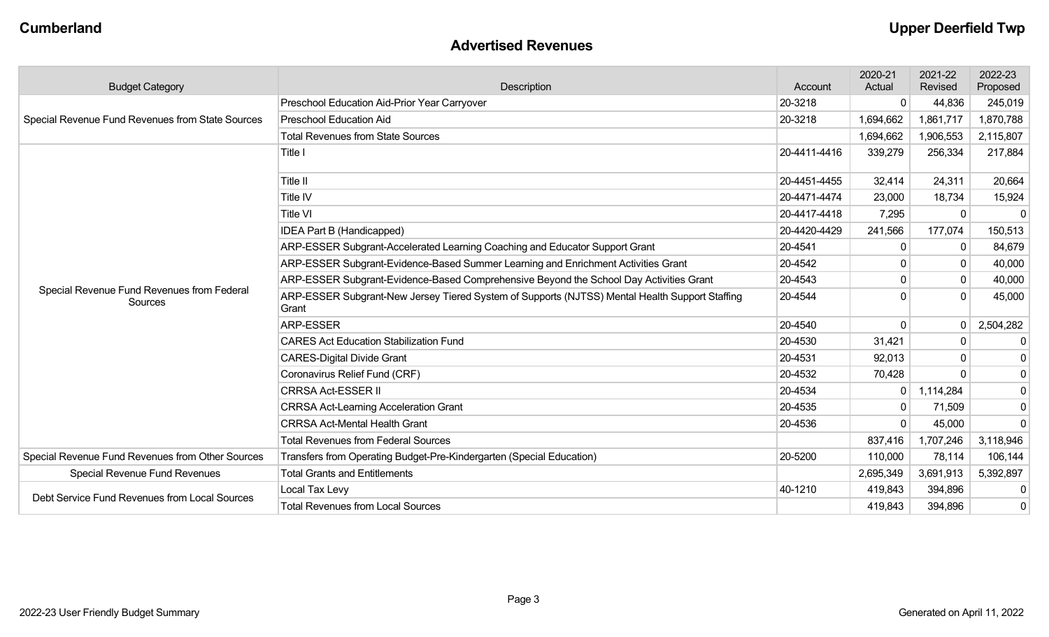#### **Advertised Revenues**

| <b>Budget Category</b>                                                                                                                                                                                                                                                                                                                                                                                                                                                                                                                                                                                                                                                                                                                                                                                                                                                                                                                                                                                                                                                                                                                                                                                                                                                                                                                                                                                                                                                                                                                                                                                                                                                                                                                    | Description                                  | Account   | 2020-21<br>Actual | 2021-22<br>Revised | 2022-23<br>Proposed |
|-------------------------------------------------------------------------------------------------------------------------------------------------------------------------------------------------------------------------------------------------------------------------------------------------------------------------------------------------------------------------------------------------------------------------------------------------------------------------------------------------------------------------------------------------------------------------------------------------------------------------------------------------------------------------------------------------------------------------------------------------------------------------------------------------------------------------------------------------------------------------------------------------------------------------------------------------------------------------------------------------------------------------------------------------------------------------------------------------------------------------------------------------------------------------------------------------------------------------------------------------------------------------------------------------------------------------------------------------------------------------------------------------------------------------------------------------------------------------------------------------------------------------------------------------------------------------------------------------------------------------------------------------------------------------------------------------------------------------------------------|----------------------------------------------|-----------|-------------------|--------------------|---------------------|
|                                                                                                                                                                                                                                                                                                                                                                                                                                                                                                                                                                                                                                                                                                                                                                                                                                                                                                                                                                                                                                                                                                                                                                                                                                                                                                                                                                                                                                                                                                                                                                                                                                                                                                                                           | Preschool Education Aid-Prior Year Carryover | 20-3218   | $\mathbf 0$       | 44,836             | 245,019             |
| Special Revenue Fund Revenues from State Sources<br><b>Preschool Education Aid</b><br>20-3218<br>1,694,662<br><b>Total Revenues from State Sources</b><br>1,694,662<br>Title I<br>20-4411-4416<br>339,279<br>Title II<br>20-4451-4455<br>32,414<br>Title IV<br>20-4471-4474<br>23,000<br>Title VI<br>20-4417-4418<br>7,295<br><b>IDEA Part B (Handicapped)</b><br>20-4420-4429<br>241,566<br>ARP-ESSER Subgrant-Accelerated Learning Coaching and Educator Support Grant<br>20-4541<br>$\mathbf 0$<br>ARP-ESSER Subgrant-Evidence-Based Summer Learning and Enrichment Activities Grant<br>20-4542<br>ARP-ESSER Subgrant-Evidence-Based Comprehensive Beyond the School Day Activities Grant<br>20-4543<br>$\Omega$<br>Special Revenue Fund Revenues from Federal<br>ARP-ESSER Subgrant-New Jersey Tiered System of Supports (NJTSS) Mental Health Support Staffing<br>20-4544<br>∩<br>Sources<br>Grant<br><b>ARP-ESSER</b><br>20-4540<br>$\Omega$<br><b>CARES Act Education Stabilization Fund</b><br>20-4530<br>31,421<br><b>CARES-Digital Divide Grant</b><br>20-4531<br>92,013<br>Coronavirus Relief Fund (CRF)<br>20-4532<br>70,428<br><b>CRRSA Act-ESSER II</b><br>20-4534<br>$\mathbf 0$<br>20-4535<br><b>CRRSA Act-Learning Acceleration Grant</b><br>$\Omega$<br><b>CRRSA Act-Mental Health Grant</b><br>20-4536<br>$\Omega$<br><b>Total Revenues from Federal Sources</b><br>837,416<br>Transfers from Operating Budget-Pre-Kindergarten (Special Education)<br>20-5200<br>110,000<br><b>Total Grants and Entitlements</b><br><b>Special Revenue Fund Revenues</b><br>2,695,349<br>40-1210<br>Local Tax Levy<br>419,843<br>Debt Service Fund Revenues from Local Sources<br>419,843<br><b>Total Revenues from Local Sources</b> |                                              |           |                   | 1,861,717          | 1,870,788           |
|                                                                                                                                                                                                                                                                                                                                                                                                                                                                                                                                                                                                                                                                                                                                                                                                                                                                                                                                                                                                                                                                                                                                                                                                                                                                                                                                                                                                                                                                                                                                                                                                                                                                                                                                           | 1,906,553                                    | 2,115,807 |                   |                    |                     |
|                                                                                                                                                                                                                                                                                                                                                                                                                                                                                                                                                                                                                                                                                                                                                                                                                                                                                                                                                                                                                                                                                                                                                                                                                                                                                                                                                                                                                                                                                                                                                                                                                                                                                                                                           |                                              |           |                   | 256,334            | 217,884             |
|                                                                                                                                                                                                                                                                                                                                                                                                                                                                                                                                                                                                                                                                                                                                                                                                                                                                                                                                                                                                                                                                                                                                                                                                                                                                                                                                                                                                                                                                                                                                                                                                                                                                                                                                           |                                              |           |                   | 24,311             | 20,664              |
|                                                                                                                                                                                                                                                                                                                                                                                                                                                                                                                                                                                                                                                                                                                                                                                                                                                                                                                                                                                                                                                                                                                                                                                                                                                                                                                                                                                                                                                                                                                                                                                                                                                                                                                                           |                                              |           |                   | 18,734             | 15,924              |
|                                                                                                                                                                                                                                                                                                                                                                                                                                                                                                                                                                                                                                                                                                                                                                                                                                                                                                                                                                                                                                                                                                                                                                                                                                                                                                                                                                                                                                                                                                                                                                                                                                                                                                                                           |                                              |           |                   | $\Omega$           | $\mathbf{0}$        |
|                                                                                                                                                                                                                                                                                                                                                                                                                                                                                                                                                                                                                                                                                                                                                                                                                                                                                                                                                                                                                                                                                                                                                                                                                                                                                                                                                                                                                                                                                                                                                                                                                                                                                                                                           |                                              |           |                   | 177,074            | 150,513             |
|                                                                                                                                                                                                                                                                                                                                                                                                                                                                                                                                                                                                                                                                                                                                                                                                                                                                                                                                                                                                                                                                                                                                                                                                                                                                                                                                                                                                                                                                                                                                                                                                                                                                                                                                           |                                              |           |                   | 0                  | 84,679              |
|                                                                                                                                                                                                                                                                                                                                                                                                                                                                                                                                                                                                                                                                                                                                                                                                                                                                                                                                                                                                                                                                                                                                                                                                                                                                                                                                                                                                                                                                                                                                                                                                                                                                                                                                           |                                              |           |                   |                    | 40,000              |
|                                                                                                                                                                                                                                                                                                                                                                                                                                                                                                                                                                                                                                                                                                                                                                                                                                                                                                                                                                                                                                                                                                                                                                                                                                                                                                                                                                                                                                                                                                                                                                                                                                                                                                                                           |                                              |           |                   | $\mathbf{0}$       | 40,000              |
|                                                                                                                                                                                                                                                                                                                                                                                                                                                                                                                                                                                                                                                                                                                                                                                                                                                                                                                                                                                                                                                                                                                                                                                                                                                                                                                                                                                                                                                                                                                                                                                                                                                                                                                                           |                                              |           |                   | $\Omega$           | 45,000              |
|                                                                                                                                                                                                                                                                                                                                                                                                                                                                                                                                                                                                                                                                                                                                                                                                                                                                                                                                                                                                                                                                                                                                                                                                                                                                                                                                                                                                                                                                                                                                                                                                                                                                                                                                           |                                              |           |                   | $\Omega$           | 2,504,282           |
|                                                                                                                                                                                                                                                                                                                                                                                                                                                                                                                                                                                                                                                                                                                                                                                                                                                                                                                                                                                                                                                                                                                                                                                                                                                                                                                                                                                                                                                                                                                                                                                                                                                                                                                                           |                                              |           |                   | 0                  | 0                   |
|                                                                                                                                                                                                                                                                                                                                                                                                                                                                                                                                                                                                                                                                                                                                                                                                                                                                                                                                                                                                                                                                                                                                                                                                                                                                                                                                                                                                                                                                                                                                                                                                                                                                                                                                           |                                              |           |                   |                    | 0                   |
|                                                                                                                                                                                                                                                                                                                                                                                                                                                                                                                                                                                                                                                                                                                                                                                                                                                                                                                                                                                                                                                                                                                                                                                                                                                                                                                                                                                                                                                                                                                                                                                                                                                                                                                                           |                                              |           |                   | $\Omega$           | $\overline{0}$      |
|                                                                                                                                                                                                                                                                                                                                                                                                                                                                                                                                                                                                                                                                                                                                                                                                                                                                                                                                                                                                                                                                                                                                                                                                                                                                                                                                                                                                                                                                                                                                                                                                                                                                                                                                           |                                              |           |                   | 1,114,284          | $\overline{0}$      |
|                                                                                                                                                                                                                                                                                                                                                                                                                                                                                                                                                                                                                                                                                                                                                                                                                                                                                                                                                                                                                                                                                                                                                                                                                                                                                                                                                                                                                                                                                                                                                                                                                                                                                                                                           |                                              |           |                   | 71,509             | 0                   |
|                                                                                                                                                                                                                                                                                                                                                                                                                                                                                                                                                                                                                                                                                                                                                                                                                                                                                                                                                                                                                                                                                                                                                                                                                                                                                                                                                                                                                                                                                                                                                                                                                                                                                                                                           |                                              |           |                   | 45,000             | $\mathbf 0$         |
|                                                                                                                                                                                                                                                                                                                                                                                                                                                                                                                                                                                                                                                                                                                                                                                                                                                                                                                                                                                                                                                                                                                                                                                                                                                                                                                                                                                                                                                                                                                                                                                                                                                                                                                                           |                                              |           |                   | 1,707,246          | 3,118,946           |
| Special Revenue Fund Revenues from Other Sources                                                                                                                                                                                                                                                                                                                                                                                                                                                                                                                                                                                                                                                                                                                                                                                                                                                                                                                                                                                                                                                                                                                                                                                                                                                                                                                                                                                                                                                                                                                                                                                                                                                                                          |                                              |           |                   | 78,114             | 106,144             |
|                                                                                                                                                                                                                                                                                                                                                                                                                                                                                                                                                                                                                                                                                                                                                                                                                                                                                                                                                                                                                                                                                                                                                                                                                                                                                                                                                                                                                                                                                                                                                                                                                                                                                                                                           |                                              |           |                   | 3,691,913          | 5,392,897           |
|                                                                                                                                                                                                                                                                                                                                                                                                                                                                                                                                                                                                                                                                                                                                                                                                                                                                                                                                                                                                                                                                                                                                                                                                                                                                                                                                                                                                                                                                                                                                                                                                                                                                                                                                           |                                              |           |                   | 394,896            | 0                   |
|                                                                                                                                                                                                                                                                                                                                                                                                                                                                                                                                                                                                                                                                                                                                                                                                                                                                                                                                                                                                                                                                                                                                                                                                                                                                                                                                                                                                                                                                                                                                                                                                                                                                                                                                           |                                              |           | 394,896           | 0                  |                     |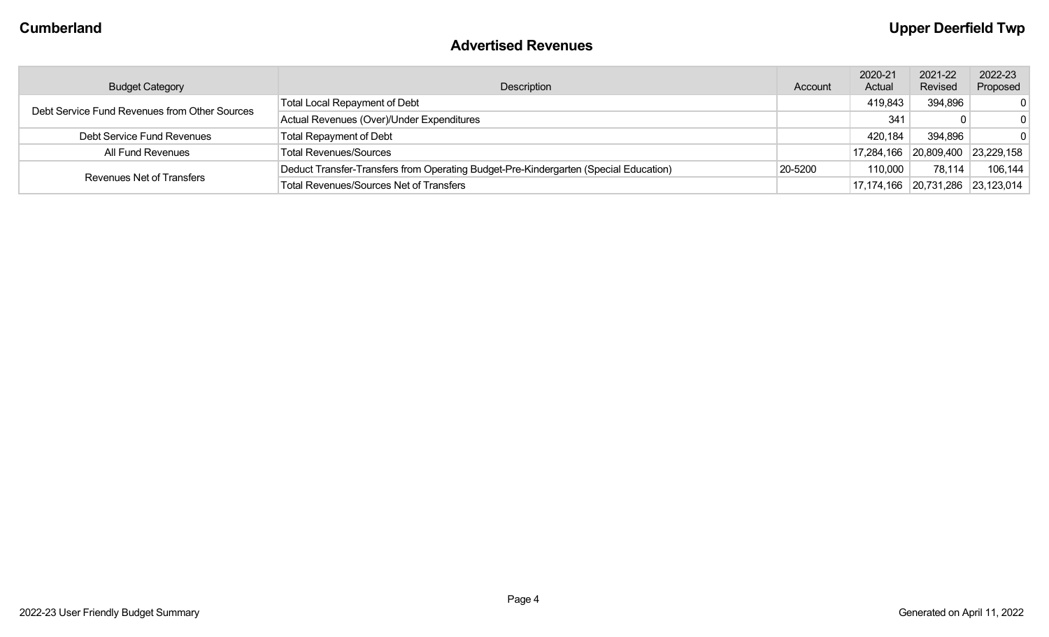#### **Advertised Revenues**

| <b>Budget Category</b>                        | Description                                                                          | Account | 2020-21<br>Actual     | 2021-22<br>Revised | 2022-23<br>Proposed  |
|-----------------------------------------------|--------------------------------------------------------------------------------------|---------|-----------------------|--------------------|----------------------|
| Debt Service Fund Revenues from Other Sources | <b>Total Local Repayment of Debt</b>                                                 |         | 419,843               | 394,896            | $\Omega$             |
|                                               | Actual Revenues (Over)/Under Expenditures                                            |         | 341                   |                    | $\Omega$             |
| Debt Service Fund Revenues                    | <b>Total Repayment of Debt</b>                                                       |         | 420,184               | 394,896            | $\mathbf{0}$         |
| All Fund Revenues                             | <b>Total Revenues/Sources</b>                                                        |         | 17,284,166 20,809,400 |                    | 23,229,158           |
|                                               | Deduct Transfer-Transfers from Operating Budget-Pre-Kindergarten (Special Education) | 20-5200 | 110,000               | 78,114             | 106,144              |
| Revenues Net of Transfers                     | <b>Total Revenues/Sources Net of Transfers</b>                                       |         | 17,174,166 20,731,286 |                    | $ 23,123,014\rangle$ |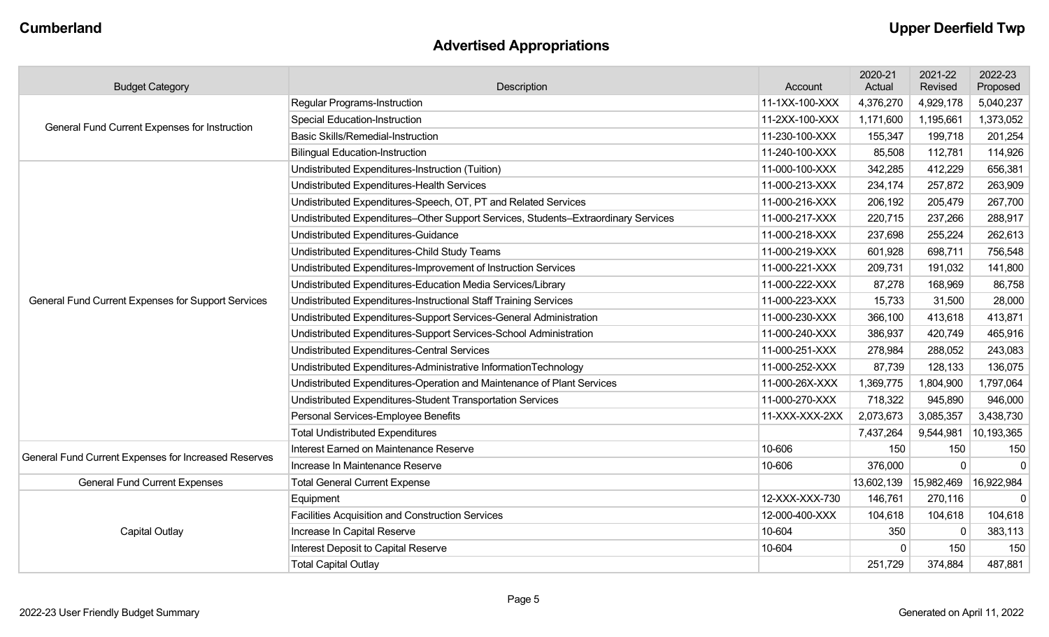## **Advertised Appropriations**

| <b>Budget Category</b>                               | Description                                                                                                                                                                                                                                                                                                                                                                                                                                                                                                                                                                                                                                                                                                                      | Account        | 2020-21<br>Actual | 2021-22<br>Revised | 2022-23<br>Proposed |
|------------------------------------------------------|----------------------------------------------------------------------------------------------------------------------------------------------------------------------------------------------------------------------------------------------------------------------------------------------------------------------------------------------------------------------------------------------------------------------------------------------------------------------------------------------------------------------------------------------------------------------------------------------------------------------------------------------------------------------------------------------------------------------------------|----------------|-------------------|--------------------|---------------------|
|                                                      | <b>Regular Programs-Instruction</b>                                                                                                                                                                                                                                                                                                                                                                                                                                                                                                                                                                                                                                                                                              | 11-1XX-100-XXX | 4,376,270         | 4,929,178          | 5,040,237           |
| <b>General Fund Current Expenses for Instruction</b> | <b>Special Education-Instruction</b>                                                                                                                                                                                                                                                                                                                                                                                                                                                                                                                                                                                                                                                                                             | 11-2XX-100-XXX | 1,171,600         | 1,195,661          | 1,373,052           |
|                                                      | <b>Basic Skills/Remedial-Instruction</b>                                                                                                                                                                                                                                                                                                                                                                                                                                                                                                                                                                                                                                                                                         | 11-230-100-XXX | 155,347           | 199,718            | 201,254             |
|                                                      | 11-240-100-XXX<br><b>Bilingual Education-Instruction</b><br>85,508<br>342,285<br>11-000-100-XXX<br>11-000-213-XXX<br>234,174<br>11-000-216-XXX<br>206,192<br>220,715<br>11-000-217-XXX<br>11-000-218-XXX<br>237,698<br>11-000-219-XXX<br>601,928<br>11-000-221-XXX<br>209,731<br>11-000-222-XXX<br>87,278<br>11-000-223-XXX<br>15,733<br>11-000-230-XXX<br>366,100<br>11-000-240-XXX<br>386,937<br>11-000-251-XXX<br>278,984<br>11-000-252-XXX<br>87,739<br>11-000-26X-XXX<br>1,369,775<br>11-000-270-XXX<br>718,322<br>11-XXX-XXX-2XX<br>2,073,673<br>7,437,264<br>10-606<br>150<br>10-606<br>376,000<br>13,602,139<br>12-XXX-XXX-730<br>146,761<br>12-000-400-XXX<br>104,618<br>10-604<br>350<br>10-604<br>$\Omega$<br>251,729 | 112,781        | 114,926           |                    |                     |
|                                                      | Undistributed Expenditures-Instruction (Tuition)                                                                                                                                                                                                                                                                                                                                                                                                                                                                                                                                                                                                                                                                                 |                |                   | 412,229            | 656,381             |
|                                                      | Undistributed Expenditures-Health Services                                                                                                                                                                                                                                                                                                                                                                                                                                                                                                                                                                                                                                                                                       |                |                   | 257,872            | 263,909             |
|                                                      | Undistributed Expenditures-Speech, OT, PT and Related Services                                                                                                                                                                                                                                                                                                                                                                                                                                                                                                                                                                                                                                                                   |                |                   | 205,479            | 267,700             |
|                                                      | Undistributed Expenditures-Other Support Services, Students-Extraordinary Services                                                                                                                                                                                                                                                                                                                                                                                                                                                                                                                                                                                                                                               |                |                   | 237,266            | 288,917             |
|                                                      | Undistributed Expenditures-Guidance                                                                                                                                                                                                                                                                                                                                                                                                                                                                                                                                                                                                                                                                                              |                |                   | 255,224            | 262,613             |
|                                                      | Undistributed Expenditures-Child Study Teams                                                                                                                                                                                                                                                                                                                                                                                                                                                                                                                                                                                                                                                                                     |                |                   | 698,711            | 756,548             |
|                                                      | Undistributed Expenditures-Improvement of Instruction Services                                                                                                                                                                                                                                                                                                                                                                                                                                                                                                                                                                                                                                                                   |                |                   | 191,032            | 141,800             |
|                                                      | Undistributed Expenditures-Education Media Services/Library                                                                                                                                                                                                                                                                                                                                                                                                                                                                                                                                                                                                                                                                      |                |                   | 168,969            | 86,758              |
| General Fund Current Expenses for Support Services   | Undistributed Expenditures-Instructional Staff Training Services                                                                                                                                                                                                                                                                                                                                                                                                                                                                                                                                                                                                                                                                 |                |                   | 31,500             | 28,000              |
|                                                      | Undistributed Expenditures-Support Services-General Administration                                                                                                                                                                                                                                                                                                                                                                                                                                                                                                                                                                                                                                                               |                |                   | 413,618            | 413,871             |
|                                                      | Undistributed Expenditures-Support Services-School Administration                                                                                                                                                                                                                                                                                                                                                                                                                                                                                                                                                                                                                                                                |                |                   | 420,749            | 465,916             |
|                                                      | Undistributed Expenditures-Central Services                                                                                                                                                                                                                                                                                                                                                                                                                                                                                                                                                                                                                                                                                      |                |                   | 288,052            | 243,083             |
|                                                      | Undistributed Expenditures-Administrative InformationTechnology                                                                                                                                                                                                                                                                                                                                                                                                                                                                                                                                                                                                                                                                  |                |                   | 128,133            | 136,075             |
|                                                      | Undistributed Expenditures-Operation and Maintenance of Plant Services                                                                                                                                                                                                                                                                                                                                                                                                                                                                                                                                                                                                                                                           |                |                   | 1,804,900          | 1,797,064           |
|                                                      | Undistributed Expenditures-Student Transportation Services                                                                                                                                                                                                                                                                                                                                                                                                                                                                                                                                                                                                                                                                       |                |                   | 945,890            | 946,000             |
|                                                      | Personal Services-Employee Benefits                                                                                                                                                                                                                                                                                                                                                                                                                                                                                                                                                                                                                                                                                              |                |                   | 3,085,357          | 3,438,730           |
|                                                      | <b>Total Undistributed Expenditures</b>                                                                                                                                                                                                                                                                                                                                                                                                                                                                                                                                                                                                                                                                                          |                |                   | 9,544,981          | 10,193,365          |
| General Fund Current Expenses for Increased Reserves | Interest Earned on Maintenance Reserve                                                                                                                                                                                                                                                                                                                                                                                                                                                                                                                                                                                                                                                                                           |                |                   | 150                | 150                 |
|                                                      | Increase In Maintenance Reserve                                                                                                                                                                                                                                                                                                                                                                                                                                                                                                                                                                                                                                                                                                  |                |                   |                    | $\mathbf 0$         |
| <b>General Fund Current Expenses</b>                 | <b>Total General Current Expense</b>                                                                                                                                                                                                                                                                                                                                                                                                                                                                                                                                                                                                                                                                                             |                |                   | 15,982,469         | 16,922,984          |
|                                                      | Equipment                                                                                                                                                                                                                                                                                                                                                                                                                                                                                                                                                                                                                                                                                                                        |                |                   | 270,116            | $\mathbf 0$         |
|                                                      | Facilities Acquisition and Construction Services                                                                                                                                                                                                                                                                                                                                                                                                                                                                                                                                                                                                                                                                                 |                |                   | 104,618            | 104,618             |
| <b>Capital Outlay</b>                                | Increase In Capital Reserve                                                                                                                                                                                                                                                                                                                                                                                                                                                                                                                                                                                                                                                                                                      |                |                   | $\Omega$           | 383,113             |
|                                                      | Interest Deposit to Capital Reserve                                                                                                                                                                                                                                                                                                                                                                                                                                                                                                                                                                                                                                                                                              |                |                   | 150                | 150                 |
|                                                      | <b>Total Capital Outlay</b>                                                                                                                                                                                                                                                                                                                                                                                                                                                                                                                                                                                                                                                                                                      |                |                   | 374,884            | 487,881             |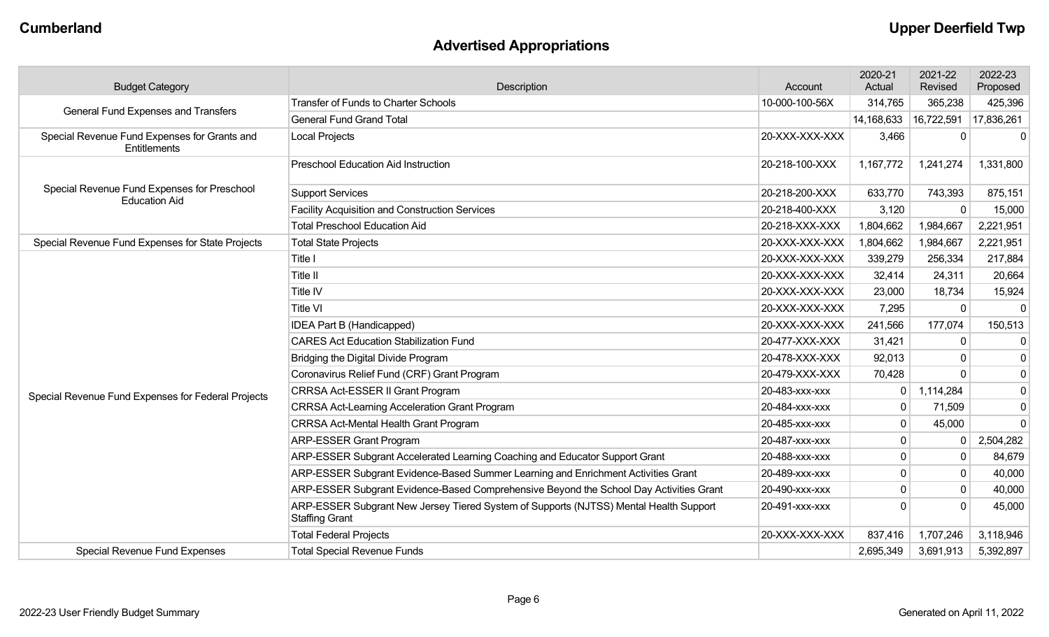## **Advertised Appropriations**

| <b>Budget Category</b>                                              | Description                                                                                                    | Account        | 2020-21<br>Actual | 2021-22<br>Revised | 2022-23<br>Proposed |
|---------------------------------------------------------------------|----------------------------------------------------------------------------------------------------------------|----------------|-------------------|--------------------|---------------------|
| <b>General Fund Expenses and Transfers</b>                          | <b>Transfer of Funds to Charter Schools</b>                                                                    | 10-000-100-56X | 314,765           | 365,238            | 425,396             |
|                                                                     | <b>General Fund Grand Total</b>                                                                                |                | 14,168,633        | 16,722,591         | 17,836,261          |
| Special Revenue Fund Expenses for Grants and<br>Entitlements        | <b>Local Projects</b>                                                                                          | 20-XXX-XXX-XXX | 3,466             |                    | $\mathbf{0}$        |
| Special Revenue Fund Expenses for Preschool<br><b>Education Aid</b> | <b>Preschool Education Aid Instruction</b>                                                                     | 20-218-100-XXX | 1,167,772         | 1,241,274          | 1,331,800           |
|                                                                     | <b>Support Services</b>                                                                                        | 20-218-200-XXX | 633,770           | 743,393            | 875,151             |
|                                                                     | <b>Facility Acquisition and Construction Services</b>                                                          | 20-218-400-XXX | 3,120             |                    | 15,000              |
|                                                                     | <b>Total Preschool Education Aid</b>                                                                           | 20-218-XXX-XXX | 1,804,662         | 1,984,667          | 2,221,951           |
| Special Revenue Fund Expenses for State Projects                    | <b>Total State Projects</b>                                                                                    | 20-XXX-XXX-XXX | 1,804,662         | 1,984,667          | 2,221,951           |
|                                                                     | Title I                                                                                                        | 20-XXX-XXX-XXX | 339,279           | 256,334            | 217,884             |
|                                                                     | Title II                                                                                                       | 20-XXX-XXX-XXX | 32,414            | 24,311             | 20,664              |
|                                                                     | Title IV                                                                                                       | 20-XXX-XXX-XXX | 23,000            | 18,734             | 15,924              |
|                                                                     | Title VI                                                                                                       | 20-XXX-XXX-XXX | 7,295             | $\mathbf{0}$       | $\mathbf 0$         |
|                                                                     | IDEA Part B (Handicapped)                                                                                      | 20-XXX-XXX-XXX | 241,566           | 177,074            | 150,513             |
|                                                                     | <b>CARES Act Education Stabilization Fund</b>                                                                  | 20-477-XXX-XXX | 31,421            | $\mathbf{0}$       | $\mathbf 0$         |
|                                                                     | Bridging the Digital Divide Program                                                                            | 20-478-XXX-XXX | 92,013            |                    | $\mathbf 0$         |
|                                                                     | Coronavirus Relief Fund (CRF) Grant Program                                                                    | 20-479-XXX-XXX | 70,428            |                    | $\mathbf 0$         |
| Special Revenue Fund Expenses for Federal Projects                  | CRRSA Act-ESSER II Grant Program                                                                               | 20-483-xxx-xxx | 0                 | 1,114,284          | $\mathbf 0$         |
|                                                                     | <b>CRRSA Act-Learning Acceleration Grant Program</b>                                                           | 20-484-xxx-xxx | $\mathbf 0$       | 71,509             | $\mathbf 0$         |
|                                                                     | CRRSA Act-Mental Health Grant Program                                                                          | 20-485-xxx-xxx | 0                 | 45,000             | $\mathbf 0$         |
|                                                                     | <b>ARP-ESSER Grant Program</b>                                                                                 | 20-487-xxx-xxx | 0                 | $\Omega$           | 2,504,282           |
|                                                                     | ARP-ESSER Subgrant Accelerated Learning Coaching and Educator Support Grant                                    | 20-488-xxx-xxx | 0                 |                    | 84,679              |
|                                                                     | ARP-ESSER Subgrant Evidence-Based Summer Learning and Enrichment Activities Grant                              | 20-489-xxx-xxx | 0                 |                    | 40,000              |
|                                                                     | ARP-ESSER Subgrant Evidence-Based Comprehensive Beyond the School Day Activities Grant                         | 20-490-xxx-xxx | $\Omega$          |                    | 40,000              |
|                                                                     | ARP-ESSER Subgrant New Jersey Tiered System of Supports (NJTSS) Mental Health Support<br><b>Staffing Grant</b> | 20-491-xxx-xxx | $\Omega$          |                    | 45,000              |
|                                                                     | <b>Total Federal Projects</b>                                                                                  | 20-XXX-XXX-XXX | 837,416           | 1,707,246          | 3,118,946           |
| Special Revenue Fund Expenses                                       | <b>Total Special Revenue Funds</b>                                                                             |                | 2,695,349         | 3,691,913          | 5,392,897           |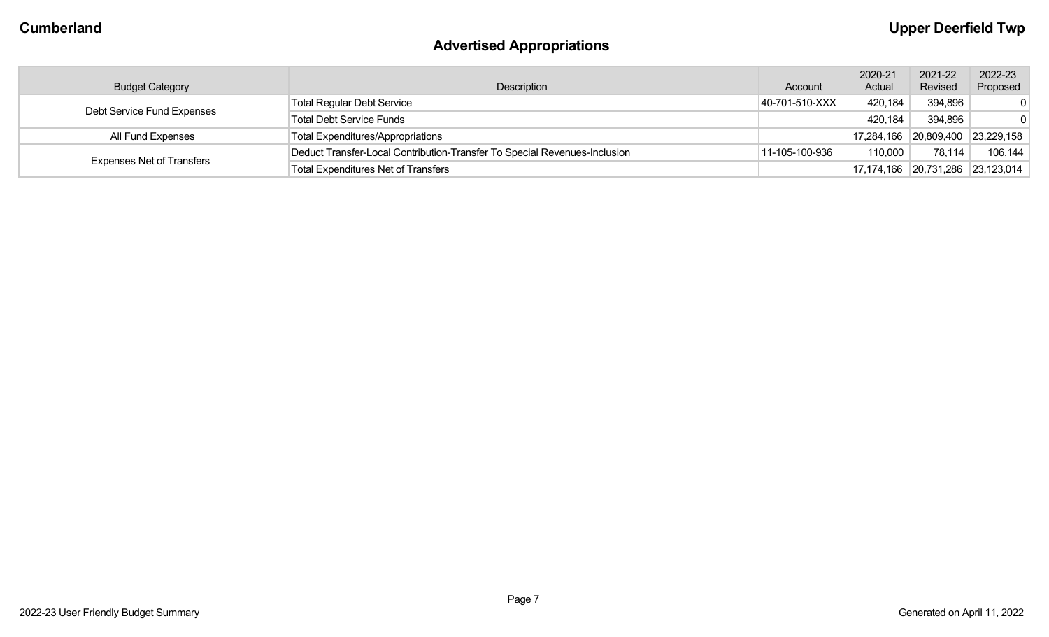## **Advertised Appropriations**

|                                  |                                                                           |                | 2020-21 | 2021-22                          | 2022-23    |
|----------------------------------|---------------------------------------------------------------------------|----------------|---------|----------------------------------|------------|
| <b>Budget Category</b>           | Description                                                               | Account        | Actual  | Revised                          | Proposed   |
| Debt Service Fund Expenses       | <b>Total Regular Debt Service</b>                                         | 40-701-510-XXX | 420,184 | 394,896                          | $\Omega$   |
|                                  | <b>Total Debt Service Funds</b>                                           |                | 420,184 | 394,896                          | 0          |
| All Fund Expenses                | <b>Total Expenditures/Appropriations</b>                                  |                |         | 17,284,166 20,809,400            | 23,229,158 |
| <b>Expenses Net of Transfers</b> | Deduct Transfer-Local Contribution-Transfer To Special Revenues-Inclusion | 11-105-100-936 | 110,000 | 78,114                           | 106,144    |
|                                  | <b>Total Expenditures Net of Transfers</b>                                |                |         | 17,174,166 20,731,286 23,123,014 |            |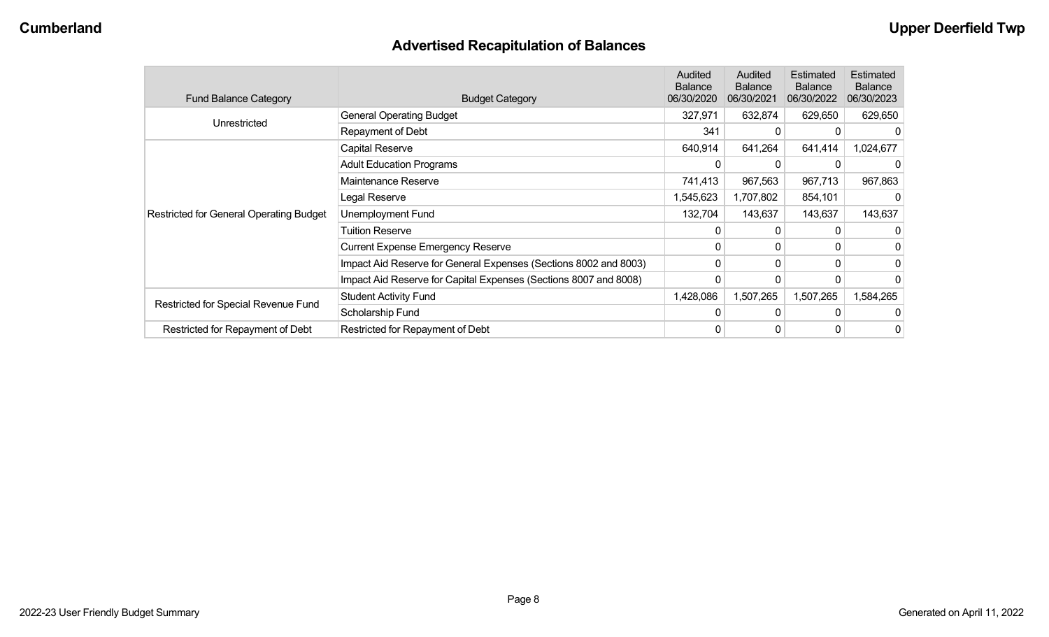## **Advertised Recapitulation of Balances**

| <b>Fund Balance Category</b>                   | <b>Budget Category</b>                                           | Audited<br><b>Balance</b><br>06/30/2020 | Audited<br><b>Balance</b><br>06/30/2021 | Estimated<br><b>Balance</b><br>06/30/2022 | <b>Estimated</b><br><b>Balance</b><br>06/30/2023 |
|------------------------------------------------|------------------------------------------------------------------|-----------------------------------------|-----------------------------------------|-------------------------------------------|--------------------------------------------------|
| Unrestricted                                   | <b>General Operating Budget</b>                                  | 327,971                                 | 632,874                                 | 629,650                                   | 629,650                                          |
|                                                | Repayment of Debt                                                | 341                                     | $\Omega$                                |                                           |                                                  |
|                                                | Capital Reserve                                                  | 640,914                                 | 641,264                                 | 641,414                                   | 1,024,677                                        |
|                                                | <b>Adult Education Programs</b>                                  | $\Omega$                                | 0                                       |                                           |                                                  |
|                                                | Maintenance Reserve                                              | 741,413                                 | 967,563                                 | 967,713                                   | 967,863                                          |
|                                                | Legal Reserve                                                    | 1,545,623                               | 1,707,802                               | 854,101                                   |                                                  |
| <b>Restricted for General Operating Budget</b> | Unemployment Fund                                                | 132,704                                 | 143,637                                 | 143,637                                   | 143,637                                          |
|                                                | Tuition Reserve                                                  | 0                                       | 0                                       |                                           |                                                  |
|                                                | <b>Current Expense Emergency Reserve</b>                         | 0                                       | $\mathbf{0}$                            | 0                                         |                                                  |
|                                                | Impact Aid Reserve for General Expenses (Sections 8002 and 8003) | 0                                       | $\mathbf{0}$                            | 0                                         |                                                  |
|                                                | Impact Aid Reserve for Capital Expenses (Sections 8007 and 8008) | 0                                       | 0                                       |                                           |                                                  |
|                                                | <b>Student Activity Fund</b>                                     | 1,428,086                               | 1,507,265                               | 1,507,265                                 | 584,265                                          |
| Restricted for Special Revenue Fund            | Scholarship Fund                                                 | 0                                       | $\Omega$                                | 0                                         |                                                  |
| Restricted for Repayment of Debt               | Restricted for Repayment of Debt                                 | 0                                       | 0                                       |                                           | 0                                                |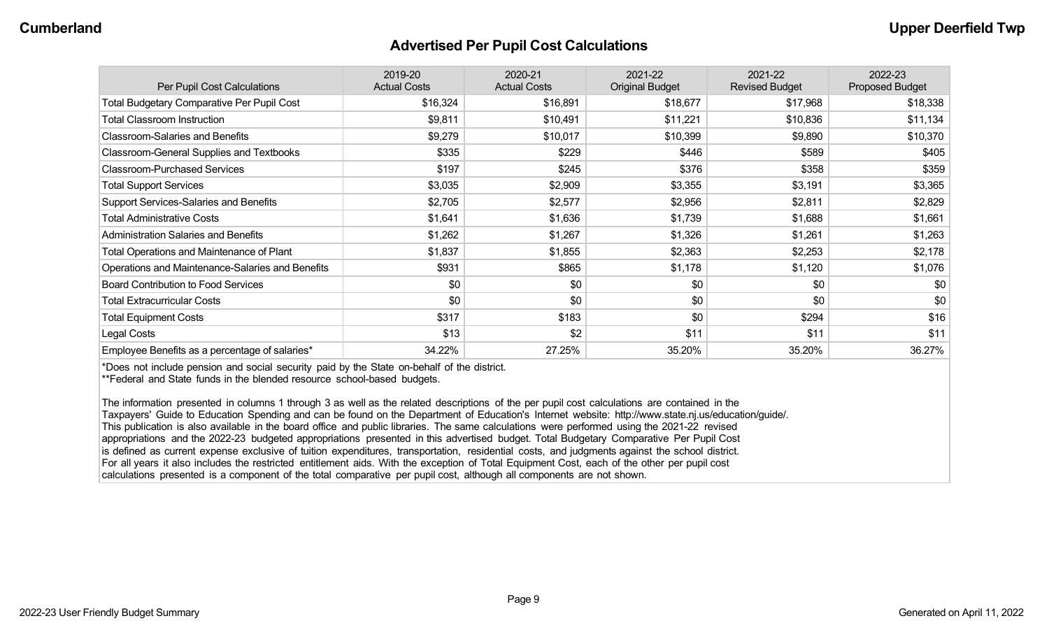#### **Advertised Per Pupil Cost Calculations**

| Per Pupil Cost Calculations                       | 2019-20<br><b>Actual Costs</b> | 2020-21<br><b>Actual Costs</b> | 2021-22<br><b>Original Budget</b> | 2021-22<br><b>Revised Budget</b> | 2022-23<br><b>Proposed Budget</b> |
|---------------------------------------------------|--------------------------------|--------------------------------|-----------------------------------|----------------------------------|-----------------------------------|
| <b>Total Budgetary Comparative Per Pupil Cost</b> | \$16,324                       | \$16,891                       | \$18,677                          | \$17,968                         | \$18,338                          |
| <b>Total Classroom Instruction</b>                | \$9,811                        | \$10,491                       | \$11,221                          | \$10,836                         | \$11,134                          |
| <b>Classroom-Salaries and Benefits</b>            | \$9,279                        | \$10,017                       | \$10,399                          | \$9,890                          | \$10,370                          |
| Classroom-General Supplies and Textbooks          | \$335                          | \$229                          | \$446                             | \$589                            | \$405                             |
| <b>Classroom-Purchased Services</b>               | \$197                          | \$245                          | \$376                             | \$358                            | \$359                             |
| <b>Total Support Services</b>                     | \$3,035                        | \$2,909                        | \$3,355                           | \$3,191                          | \$3,365                           |
| Support Services-Salaries and Benefits            | \$2,705                        | \$2,577                        | \$2,956                           | \$2,811                          | \$2,829                           |
| <b>Total Administrative Costs</b>                 | \$1,641                        | \$1,636                        | \$1,739                           | \$1,688                          | \$1,661                           |
| <b>Administration Salaries and Benefits</b>       | \$1,262                        | \$1,267                        | \$1,326                           | \$1,261                          | \$1,263                           |
| Total Operations and Maintenance of Plant         | \$1,837                        | \$1,855                        | \$2,363                           | \$2,253                          | \$2,178                           |
| Operations and Maintenance-Salaries and Benefits  | \$931                          | \$865                          | \$1,178                           | \$1,120                          | \$1,076                           |
| <b>Board Contribution to Food Services</b>        | \$0                            | \$0                            | \$0                               | \$0                              | \$0                               |
| <b>Total Extracurricular Costs</b>                | \$0                            | \$0                            | \$0                               | \$0                              | \$0                               |
| <b>Total Equipment Costs</b>                      | \$317                          | \$183                          | \$0                               | \$294                            | \$16                              |
| Legal Costs                                       | \$13                           | \$2                            | \$11                              | \$11                             | \$11                              |
| Employee Benefits as a percentage of salaries*    | 34.22%                         | 27.25%                         | 35.20%                            | 35.20%                           | 36.27%                            |

\*Does not include pension and social security paid by the State on-behalf of the district.

\*\*Federal and State funds in the blended resource school-based budgets.

The information presented in columns 1 through 3 as well as the related descriptions of the per pupil cost calculations are contained in the Taxpayers' Guide to Education Spending and can be found on the Department of Education's Internet website: http://www.state.nj.us/education/guide/. This publication is also available in the board office and public libraries. The same calculations were performed using the 2021-22 revised appropriations and the 2022-23 budgeted appropriations presented in this advertised budget. Total Budgetary Comparative Per Pupil Cost is defined as current expense exclusive of tuition expenditures, transportation, residential costs, and judgments against the school district. For all years it also includes the restricted entitlement aids. With the exception of Total Equipment Cost, each of the other per pupil cost calculations presented is a component of the total comparative per pupil cost, although all components are not shown.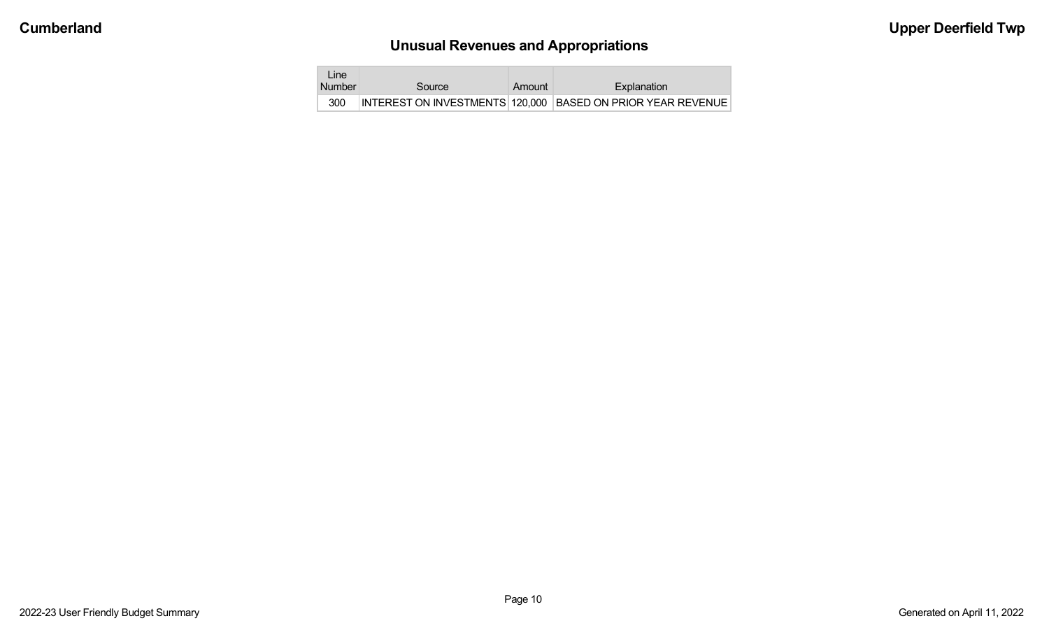# **Unusual Revenues and Appropriations**

| Line.<br><b>Number</b> | Source | Amount | Explanation                                                 |
|------------------------|--------|--------|-------------------------------------------------------------|
|                        |        |        |                                                             |
| 300                    |        |        | INTEREST ON INVESTMENTS 120,000 BASED ON PRIOR YEAR REVENUE |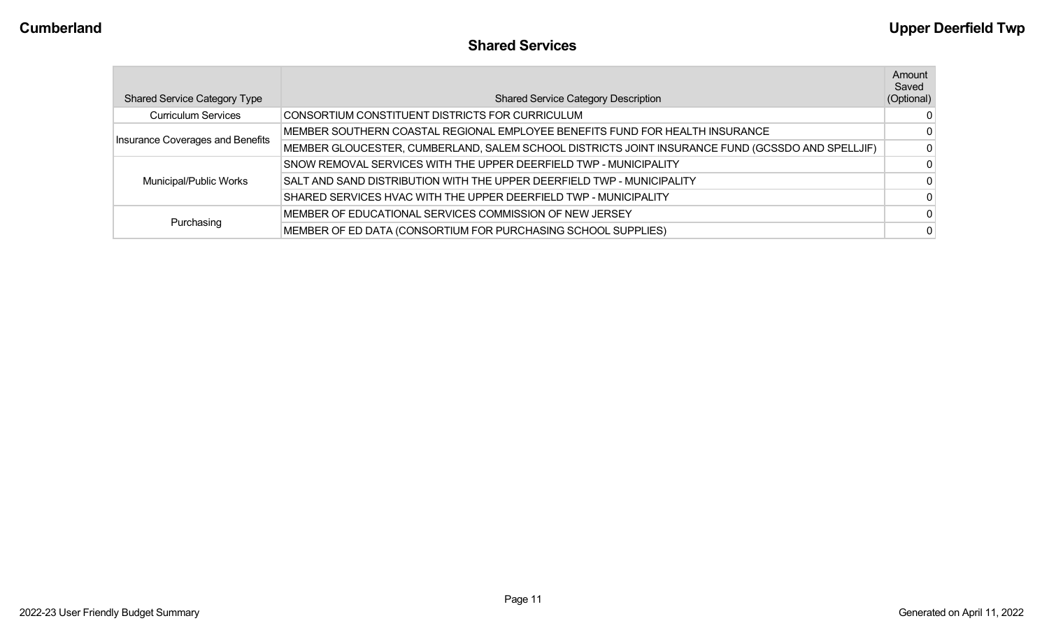| <b>Shared Service Category Type</b> | <b>Shared Service Category Description</b>                                                       | Amount<br>Saved<br>(Optional) |
|-------------------------------------|--------------------------------------------------------------------------------------------------|-------------------------------|
| <b>Curriculum Services</b>          | CONSORTIUM CONSTITUENT DISTRICTS FOR CURRICULUM                                                  | $\Omega$                      |
| Insurance Coverages and Benefits    | MEMBER SOUTHERN COASTAL REGIONAL EMPLOYEE BENEFITS FUND FOR HEALTH INSURANCE                     | $\Omega$                      |
|                                     | MEMBER GLOUCESTER, CUMBERLAND, SALEM SCHOOL DISTRICTS JOINT INSURANCE FUND (GCSSDO AND SPELLJIF) | $\Omega$                      |
|                                     | SNOW REMOVAL SERVICES WITH THE UPPER DEERFIELD TWP - MUNICIPALITY                                | $\Omega$                      |
| Municipal/Public Works              | SALT AND SAND DISTRIBUTION WITH THE UPPER DEERFIELD TWP - MUNICIPALITY                           | $\Omega$                      |
|                                     | SHARED SERVICES HVAC WITH THE UPPER DEERFIELD TWP - MUNICIPALITY                                 | $\Omega$                      |
|                                     | MEMBER OF EDUCATIONAL SERVICES COMMISSION OF NEW JERSEY                                          | $\Omega$                      |
| Purchasing                          | MEMBER OF ED DATA (CONSORTIUM FOR PURCHASING SCHOOL SUPPLIES)                                    | $\Omega$                      |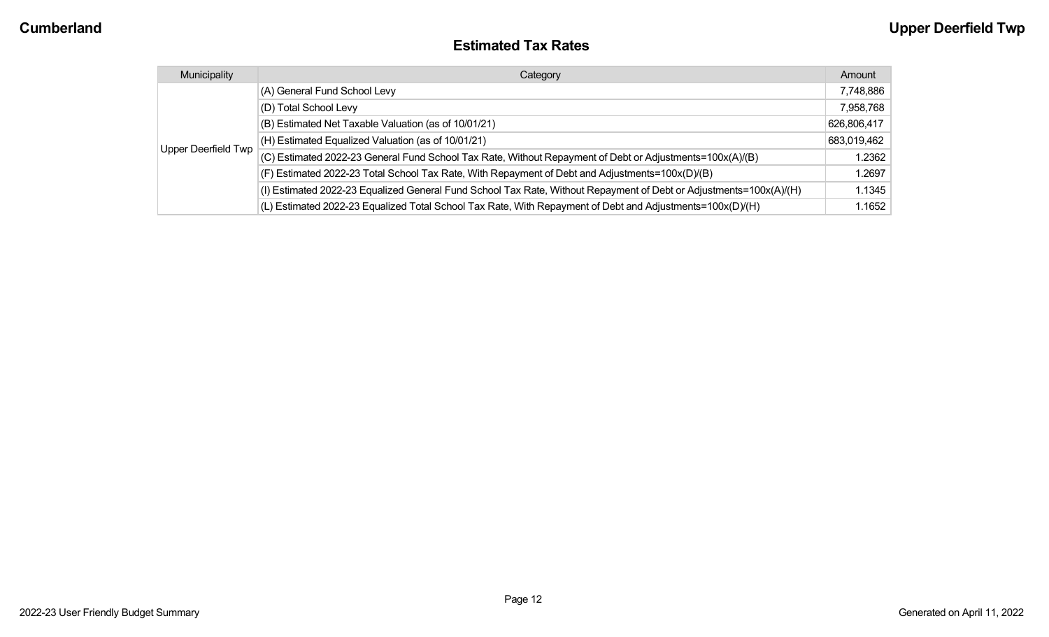#### **Estimated Tax Rates**

| Municipality        | Category                                                                                                           | Amount      |
|---------------------|--------------------------------------------------------------------------------------------------------------------|-------------|
| Upper Deerfield Twp | (A) General Fund School Levy                                                                                       | 7,748,886   |
|                     | (D) Total School Levy                                                                                              | 7,958,768   |
|                     | (B) Estimated Net Taxable Valuation (as of 10/01/21)                                                               | 626,806,417 |
|                     | (H) Estimated Equalized Valuation (as of 10/01/21)                                                                 | 683,019,462 |
|                     | (C) Estimated 2022-23 General Fund School Tax Rate, Without Repayment of Debt or Adjustments=100x(A)/(B)           | 1.2362      |
|                     | (F) Estimated 2022-23 Total School Tax Rate, With Repayment of Debt and Adjustments=100x(D)/(B)                    | 1.2697      |
|                     | (I) Estimated 2022-23 Equalized General Fund School Tax Rate, Without Repayment of Debt or Adjustments=100x(A)/(H) | 1.1345      |
|                     | (L) Estimated 2022-23 Equalized Total School Tax Rate, With Repayment of Debt and Adjustments=100x(D)/(H)          | 1.1652      |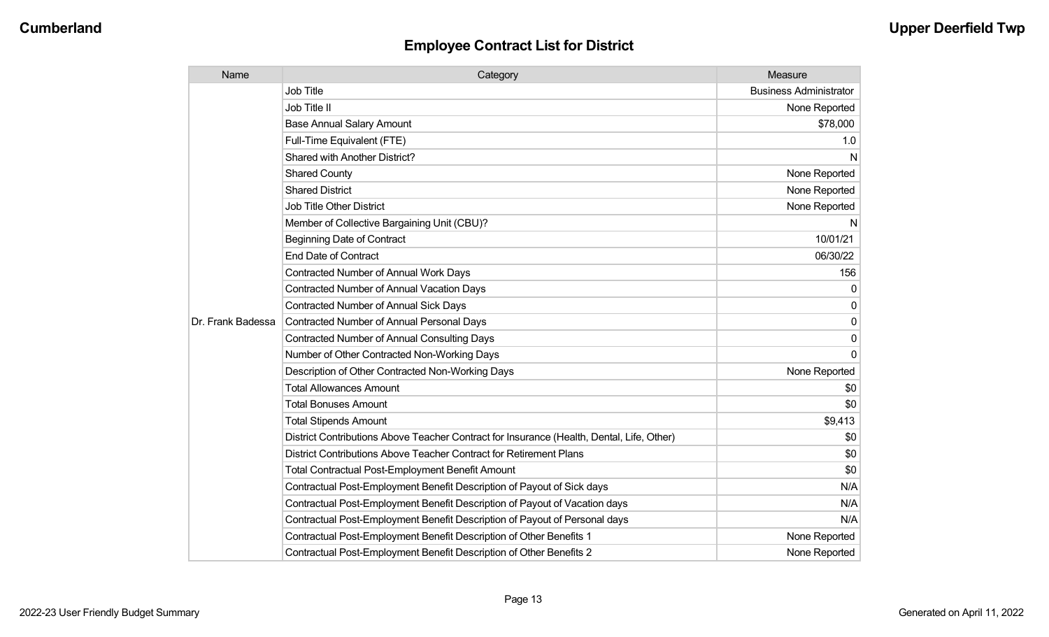## **Employee Contract List for District**

| Name              | Category                                                                                  | Measure                       |
|-------------------|-------------------------------------------------------------------------------------------|-------------------------------|
| Dr. Frank Badessa | <b>Job Title</b>                                                                          | <b>Business Administrator</b> |
|                   | Job Title II                                                                              | None Reported                 |
|                   | <b>Base Annual Salary Amount</b>                                                          | \$78,000                      |
|                   | Full-Time Equivalent (FTE)                                                                | 1.0                           |
|                   | <b>Shared with Another District?</b>                                                      | N                             |
|                   | <b>Shared County</b>                                                                      | None Reported                 |
|                   | <b>Shared District</b>                                                                    | None Reported                 |
|                   | <b>Job Title Other District</b>                                                           | None Reported                 |
|                   | Member of Collective Bargaining Unit (CBU)?                                               | N                             |
|                   | <b>Beginning Date of Contract</b>                                                         | 10/01/21                      |
|                   | <b>End Date of Contract</b>                                                               | 06/30/22                      |
|                   | Contracted Number of Annual Work Days                                                     | 156                           |
|                   | <b>Contracted Number of Annual Vacation Days</b>                                          | 0                             |
|                   | <b>Contracted Number of Annual Sick Days</b>                                              | 0                             |
|                   | Contracted Number of Annual Personal Days                                                 | 0                             |
|                   | <b>Contracted Number of Annual Consulting Days</b>                                        | 0                             |
|                   | Number of Other Contracted Non-Working Days                                               | $\Omega$                      |
|                   | Description of Other Contracted Non-Working Days                                          | None Reported                 |
|                   | <b>Total Allowances Amount</b>                                                            | \$0                           |
|                   | <b>Total Bonuses Amount</b>                                                               | \$0                           |
|                   | <b>Total Stipends Amount</b>                                                              | \$9,413                       |
|                   | District Contributions Above Teacher Contract for Insurance (Health, Dental, Life, Other) | \$0                           |
|                   | District Contributions Above Teacher Contract for Retirement Plans                        | \$0                           |
|                   | Total Contractual Post-Employment Benefit Amount                                          | \$0                           |
|                   | Contractual Post-Employment Benefit Description of Payout of Sick days                    | N/A                           |
|                   | Contractual Post-Employment Benefit Description of Payout of Vacation days                | N/A                           |
|                   | Contractual Post-Employment Benefit Description of Payout of Personal days                | N/A                           |
|                   | Contractual Post-Employment Benefit Description of Other Benefits 1                       | None Reported                 |
|                   | Contractual Post-Employment Benefit Description of Other Benefits 2                       | None Reported                 |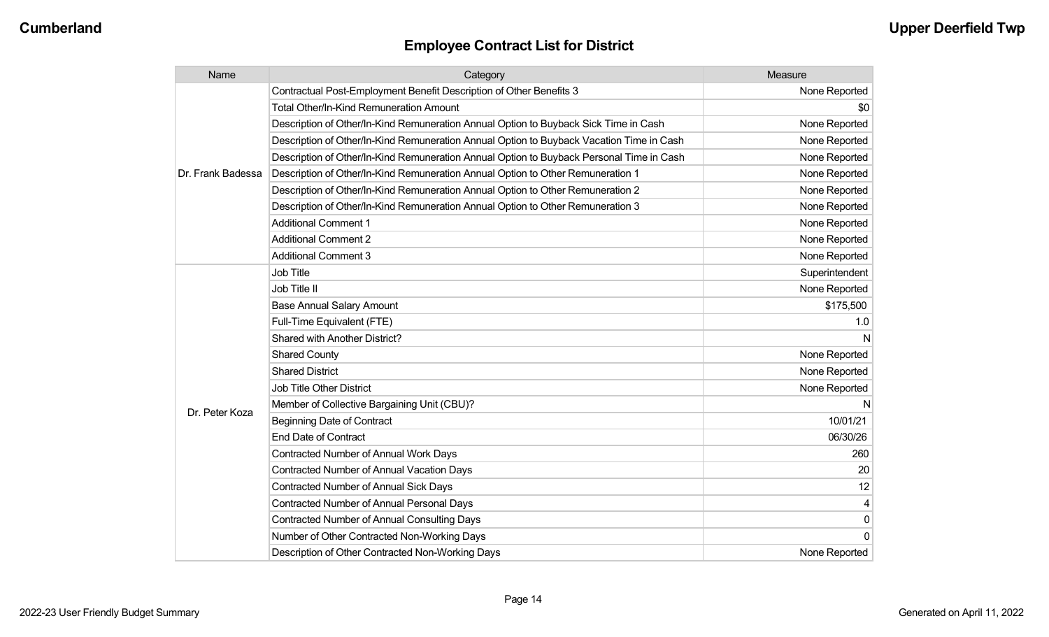## **Employee Contract List for District**

| Name              | Category                                                                                 | Measure        |
|-------------------|------------------------------------------------------------------------------------------|----------------|
| Dr. Frank Badessa | Contractual Post-Employment Benefit Description of Other Benefits 3                      | None Reported  |
|                   | <b>Total Other/In-Kind Remuneration Amount</b>                                           | \$0            |
|                   | Description of Other/In-Kind Remuneration Annual Option to Buyback Sick Time in Cash     | None Reported  |
|                   | Description of Other/In-Kind Remuneration Annual Option to Buyback Vacation Time in Cash | None Reported  |
|                   | Description of Other/In-Kind Remuneration Annual Option to Buyback Personal Time in Cash | None Reported  |
|                   | Description of Other/In-Kind Remuneration Annual Option to Other Remuneration 1          | None Reported  |
|                   | Description of Other/In-Kind Remuneration Annual Option to Other Remuneration 2          | None Reported  |
|                   | Description of Other/In-Kind Remuneration Annual Option to Other Remuneration 3          | None Reported  |
|                   | <b>Additional Comment 1</b>                                                              | None Reported  |
|                   | <b>Additional Comment 2</b>                                                              | None Reported  |
|                   | <b>Additional Comment 3</b>                                                              | None Reported  |
|                   | <b>Job Title</b>                                                                         | Superintendent |
|                   | Job Title II                                                                             | None Reported  |
|                   | <b>Base Annual Salary Amount</b>                                                         | \$175,500      |
|                   | Full-Time Equivalent (FTE)                                                               | 1.0            |
|                   | Shared with Another District?                                                            | N              |
| Dr. Peter Koza    | <b>Shared County</b>                                                                     | None Reported  |
|                   | <b>Shared District</b>                                                                   | None Reported  |
|                   | <b>Job Title Other District</b>                                                          | None Reported  |
|                   | Member of Collective Bargaining Unit (CBU)?                                              | N              |
|                   | <b>Beginning Date of Contract</b>                                                        | 10/01/21       |
|                   | <b>End Date of Contract</b>                                                              | 06/30/26       |
|                   | Contracted Number of Annual Work Days                                                    | 260            |
|                   | Contracted Number of Annual Vacation Days                                                | 20             |
|                   | Contracted Number of Annual Sick Days                                                    | 12             |
|                   | Contracted Number of Annual Personal Days                                                |                |
|                   | <b>Contracted Number of Annual Consulting Days</b>                                       | $\mathbf 0$    |
|                   | Number of Other Contracted Non-Working Days                                              | <sup>0</sup>   |
|                   | Description of Other Contracted Non-Working Days                                         | None Reported  |